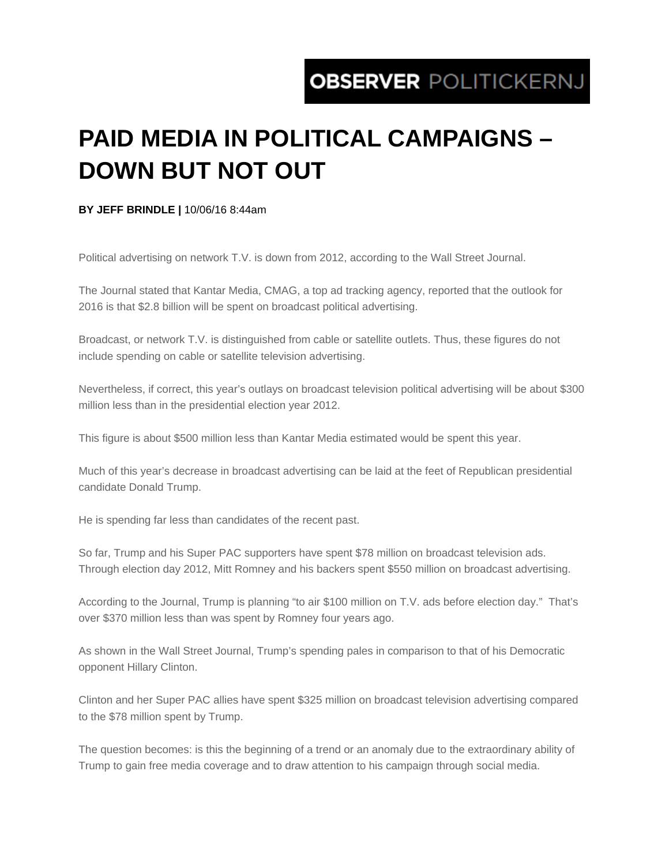## OBSERVER POLITICKERNJ

## **PAID MEDIA IN POLITICAL CAMPAIGNS – DOWN BUT NOT OUT**

## **BY JEFF BRINDLE |** 10/06/16 8:44am

Political advertising on network T.V. is down from 2012, according to the Wall Street Journal.

The Journal stated that Kantar Media, CMAG, a top ad tracking agency, reported that the outlook for 2016 is that \$2.8 billion will be spent on broadcast political advertising.

Broadcast, or network T.V. is distinguished from cable or satellite outlets. Thus, these figures do not include spending on cable or satellite television advertising.

Nevertheless, if correct, this year's outlays on broadcast television political advertising will be about \$300 million less than in the presidential election year 2012.

This figure is about \$500 million less than Kantar Media estimated would be spent this year.

Much of this year's decrease in broadcast advertising can be laid at the feet of Republican presidential candidate Donald Trump.

He is spending far less than candidates of the recent past.

So far, Trump and his Super PAC supporters have spent \$78 million on broadcast television ads. Through election day 2012, Mitt Romney and his backers spent \$550 million on broadcast advertising.

According to the Journal, Trump is planning "to air \$100 million on T.V. ads before election day." That's over \$370 million less than was spent by Romney four years ago.

As shown in the Wall Street Journal, Trump's spending pales in comparison to that of his Democratic opponent Hillary Clinton.

Clinton and her Super PAC allies have spent \$325 million on broadcast television advertising compared to the \$78 million spent by Trump.

The question becomes: is this the beginning of a trend or an anomaly due to the extraordinary ability of Trump to gain free media coverage and to draw attention to his campaign through social media.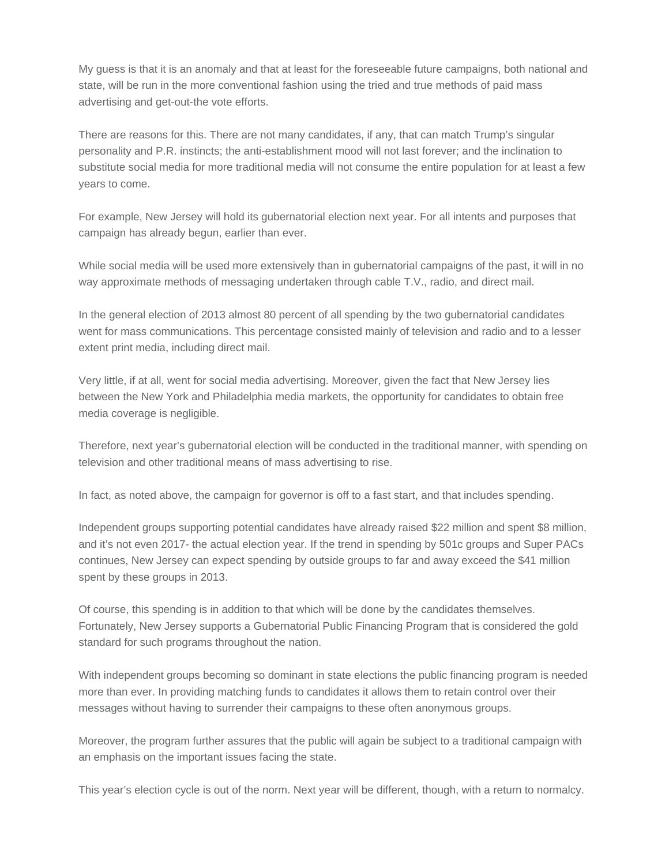My guess is that it is an anomaly and that at least for the foreseeable future campaigns, both national and state, will be run in the more conventional fashion using the tried and true methods of paid mass advertising and get-out-the vote efforts.

There are reasons for this. There are not many candidates, if any, that can match Trump's singular personality and P.R. instincts; the anti-establishment mood will not last forever; and the inclination to substitute social media for more traditional media will not consume the entire population for at least a few years to come.

For example, New Jersey will hold its gubernatorial election next year. For all intents and purposes that campaign has already begun, earlier than ever.

While social media will be used more extensively than in gubernatorial campaigns of the past, it will in no way approximate methods of messaging undertaken through cable T.V., radio, and direct mail.

In the general election of 2013 almost 80 percent of all spending by the two gubernatorial candidates went for mass communications. This percentage consisted mainly of television and radio and to a lesser extent print media, including direct mail.

Very little, if at all, went for social media advertising. Moreover, given the fact that New Jersey lies between the New York and Philadelphia media markets, the opportunity for candidates to obtain free media coverage is negligible.

Therefore, next year's gubernatorial election will be conducted in the traditional manner, with spending on television and other traditional means of mass advertising to rise.

In fact, as noted above, the campaign for governor is off to a fast start, and that includes spending.

Independent groups supporting potential candidates have already raised \$22 million and spent \$8 million, and it's not even 2017- the actual election year. If the trend in spending by 501c groups and Super PACs continues, New Jersey can expect spending by outside groups to far and away exceed the \$41 million spent by these groups in 2013.

Of course, this spending is in addition to that which will be done by the candidates themselves. Fortunately, New Jersey supports a Gubernatorial Public Financing Program that is considered the gold standard for such programs throughout the nation.

With independent groups becoming so dominant in state elections the public financing program is needed more than ever. In providing matching funds to candidates it allows them to retain control over their messages without having to surrender their campaigns to these often anonymous groups.

Moreover, the program further assures that the public will again be subject to a traditional campaign with an emphasis on the important issues facing the state.

This year's election cycle is out of the norm. Next year will be different, though, with a return to normalcy.